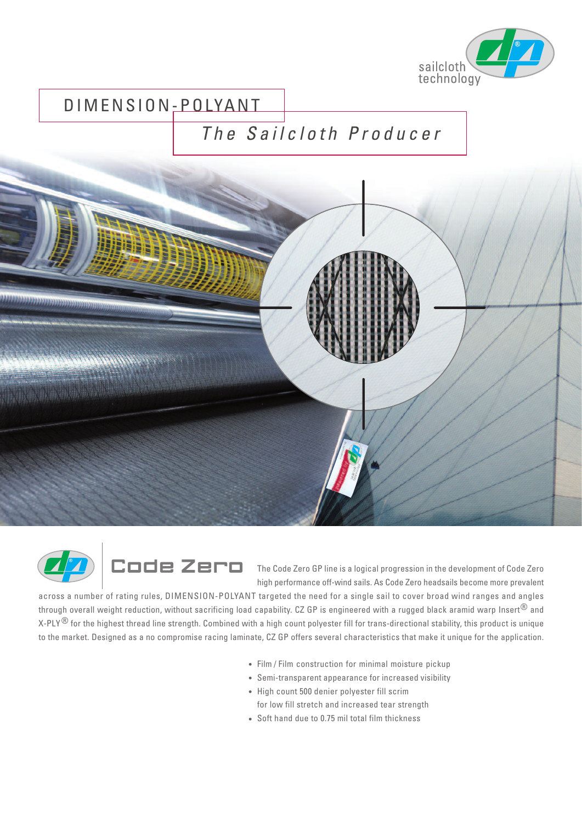

## DIMENSION-POLYANT

## *T h e S a i l c l o t h P r o d u c e r*





high performance off-wind sails. As Code Zero headsails become more prevalent

across a number of rating rules, DIMENSION-POLYANT targeted the need for a single sail to cover broad wind ranges and angles through overall weight reduction, without sacrificing load capability. CZ GP is engineered with a rugged black aramid warp Insert<sup>®</sup> and X-PLY<sup>®</sup> for the highest thread line strength. Combined with a high count polyester fill for trans-directional stability, this product is unique to the market. Designed as a no compromise racing laminate, CZ GP offers several characteristics that make it unique for the application.

- Film / Film construction for minimal moisture pickup
- Semi-transparent appearance for increased visibility
- High count 500 denier polyester fill scrim for low fill stretch and increased tear strength
- Soft hand due to 0.75 mil total film thickness